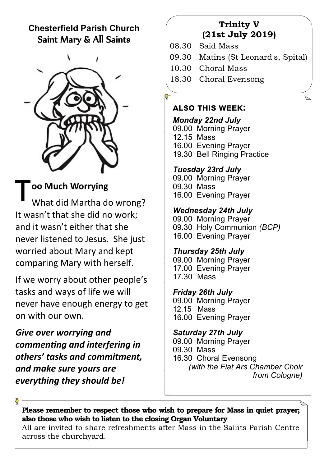# **Chesterfield Parish Church** Saint Mary & All Saints



# **oo Much Worrying**

What did Martha do wrong? It wasn't that she did no work; and it wasn't either that she never listened to Jesus. She just worried about Mary and kept comparing Mary with herself.

If we worry about other people's tasks and ways of life we will never have enough energy to get on with our own.

*Give over worrying and commenting and interfering in others' tasks and commitment, and make sure yours are everything they should be!*

# **Trinity V (21st July 2019)**

- 08.30 Said Mass
- 09.30 Matins (St Leonard's, Spital)
- 10.30 Choral Mass
- 18.30 Choral Evensong

#### **also this week:**

*Monday 22nd July* 09.00 Morning Prayer 12.15 Mass 16.00 Evening Prayer 19.30 Bell Ringing Practice

#### *Tuesday 23rd July*

09.00 Morning Prayer 09.30 Mass 16.00 Evening Prayer

## *Wednesday 24th July*

09.00 Morning Prayer 09.30 Holy Communion *(BCP)* 16.00 Evening Prayer

#### *Thursday 25th July*

09.00 Morning Prayer 17.00 Evening Prayer 17.30 Mass

## *Friday 26th July*

09.00 Morning Prayer 12.15 Mass 16.00 Evening Prayer

#### *Saturday 27th July*

09.00 Morning Prayer 09.30 Mass 16.30 Choral Evensong *(with the Fiat Ars Chamber Choir from Cologne)*

**Please remember to respect those who wish to prepare for Mass in quiet prayer; also those who wish to listen to the closing Organ Voluntary**

All are invited to share refreshments after Mass in the Saints Parish Centre across the churchyard.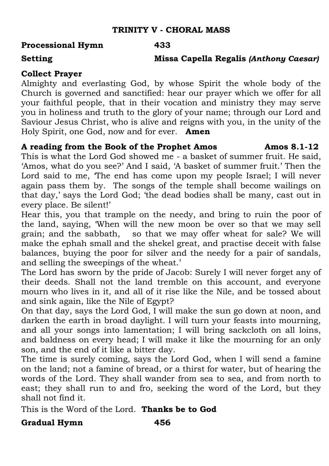#### **TRINITY V - CHORAL MASS**

#### **Processional Hymn 433**

#### **Setting Missa Capella Regalis** *(Anthony Caesar)*

#### **Collect Prayer**

Almighty and everlasting God, by whose Spirit the whole body of the Church is governed and sanctified: hear our prayer which we offer for all your faithful people, that in their vocation and ministry they may serve you in holiness and truth to the glory of your name; through our Lord and Saviour Jesus Christ, who is alive and reigns with you, in the unity of the Holy Spirit, one God, now and for ever. **Amen**

#### **A reading from the Book of the Prophet Amos Amos 8.1-12**

This is what the Lord God showed me - a basket of summer fruit. He said, 'Amos, what do you see?' And I said, 'A basket of summer fruit.' Then the Lord said to me, 'The end has come upon my people Israel; I will never again pass them by. The songs of the temple shall become wailings on that day,' says the Lord God; 'the dead bodies shall be many, cast out in every place. Be silent!'

Hear this, you that trample on the needy, and bring to ruin the poor of the land, saying, 'When will the new moon be over so that we may sell grain; and the sabbath, so that we may offer wheat for sale? We will make the ephah small and the shekel great, and practise deceit with false balances, buying the poor for silver and the needy for a pair of sandals, and selling the sweepings of the wheat.'

The Lord has sworn by the pride of Jacob: Surely I will never forget any of their deeds. Shall not the land tremble on this account, and everyone mourn who lives in it, and all of it rise like the Nile, and be tossed about and sink again, like the Nile of Egypt?

On that day, says the Lord God, I will make the sun go down at noon, and darken the earth in broad daylight. I will turn your feasts into mourning, and all your songs into lamentation; I will bring sackcloth on all loins, and baldness on every head; I will make it like the mourning for an only son, and the end of it like a bitter day.

The time is surely coming, says the Lord God, when I will send a famine on the land; not a famine of bread, or a thirst for water, but of hearing the words of the Lord. They shall wander from sea to sea, and from north to east; they shall run to and fro, seeking the word of the Lord, but they shall not find it.

This is the Word of the Lord. **Thanks be to God**

#### **Gradual Hymn 456**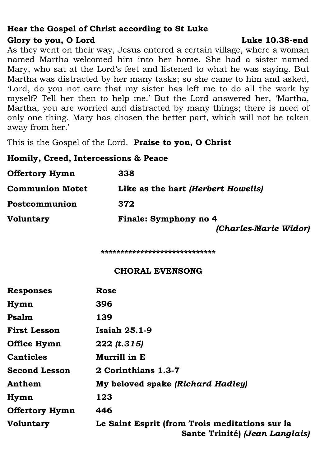#### **Hear the Gospel of Christ according to St Luke Glory to you, O Lord Community Community Community Community Community Community Community Community Community**

As they went on their way, Jesus entered a certain village, where a woman named Martha welcomed him into her home. She had a sister named Mary, who sat at the Lord's feet and listened to what he was saying. But Martha was distracted by her many tasks; so she came to him and asked, 'Lord, do you not care that my sister has left me to do all the work by myself? Tell her then to help me.' But the Lord answered her, 'Martha, Martha, you are worried and distracted by many things; there is need of only one thing. Mary has chosen the better part, which will not be taken away from her.'

This is the Gospel of the Lord. **Praise to you, O Christ**

**Homily, Creed, Intercessions & Peace**

| <b>Offertory Hymn</b>  | 338                                            |
|------------------------|------------------------------------------------|
| <b>Communion Motet</b> | Like as the hart (Herbert Howells)             |
| Postcommunion          | 372                                            |
| <b>Voluntary</b>       | Finale: Symphony no 4<br>(Charles-Marie Widor) |

**\*\*\*\*\*\*\*\*\*\*\*\*\*\*\*\*\*\*\*\*\*\*\*\*\*\*\*\*\***

## **CHORAL EVENSONG**

| <b>Responses</b>      | Rose                                                                             |
|-----------------------|----------------------------------------------------------------------------------|
| Hymn                  | 396                                                                              |
| Psalm                 | 139                                                                              |
| <b>First Lesson</b>   | Isaiah $25.1-9$                                                                  |
| Office Hymn           | 222 (t.315)                                                                      |
| <b>Canticles</b>      | Murrill in E                                                                     |
| <b>Second Lesson</b>  | 2 Corinthians 1.3-7                                                              |
| Anthem                | My beloved spake (Richard Hadley)                                                |
| Hymn                  | 123                                                                              |
| <b>Offertory Hymn</b> | 446                                                                              |
| <b>Voluntary</b>      | Le Saint Esprit (from Trois meditations sur la<br>Sante Trinité) (Jean Langlais) |